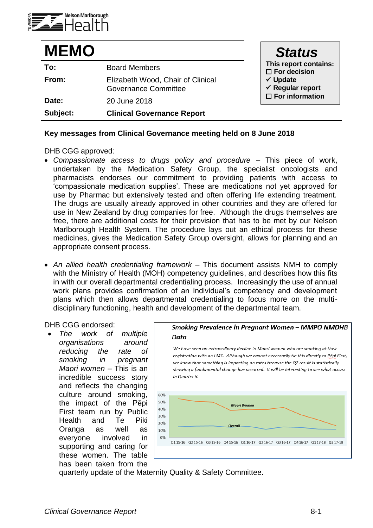

| <b>MEMO</b> |                                                                  | <b>Status</b>                                      |
|-------------|------------------------------------------------------------------|----------------------------------------------------|
| To:         | <b>Board Members</b>                                             | This report contains:<br>$\square$ For decision    |
| From:       | Elizabeth Wood, Chair of Clinical<br><b>Governance Committee</b> | $\checkmark$ Update<br>$\checkmark$ Regular report |
| Date:       | 20 June 2018                                                     | $\square$ For information                          |
| Subject:    | <b>Clinical Governance Report</b>                                |                                                    |

## **Key messages from Clinical Governance meeting held on 8 June 2018**

DHB CGG approved:

- *Compassionate access to drugs policy and procedure –* This piece of work, undertaken by the Medication Safety Group, the specialist oncologists and pharmacists endorses our commitment to providing patients with access to 'compassionate medication supplies'. These are medications not yet approved for use by Pharmac but extensively tested and often offering life extending treatment. The drugs are usually already approved in other countries and they are offered for use in New Zealand by drug companies for free. Although the drugs themselves are free, there are additional costs for their provision that has to be met by our Nelson Marlborough Health System. The procedure lays out an ethical process for these medicines, gives the Medication Safety Group oversight, allows for planning and an appropriate consent process.
- *An allied health credentialing framework –* This document assists NMH to comply with the Ministry of Health (MOH) competency guidelines, and describes how this fits in with our overall departmental credentialing process. Increasingly the use of annual work plans provides confirmation of an individual's competency and development plans which then allows departmental credentialing to focus more on the multidisciplinary functioning, health and development of the departmental team.

DHB CGG endorsed:

 *The work of multiple organisations around reducing the rate of smoking in pregnant Maori women –* This is an incredible success story and reflects the changing culture around smoking, the impact of the Pēpi First team run by Public Health and Te Piki Oranga as well as everyone involved in supporting and caring for these women. The table has been taken from the



We have seen an extraordinary decline in Maori women who are smoking at their registration with an LMC. Although we cannot necessarily tie this directly to Pepi First, we know that something is impacting on rates because the Q2 result is statistically showing a fundamental change has occurred. It will be interesting to see what occurs in Quarter 3.



quarterly update of the Maternity Quality & Safety Committee.